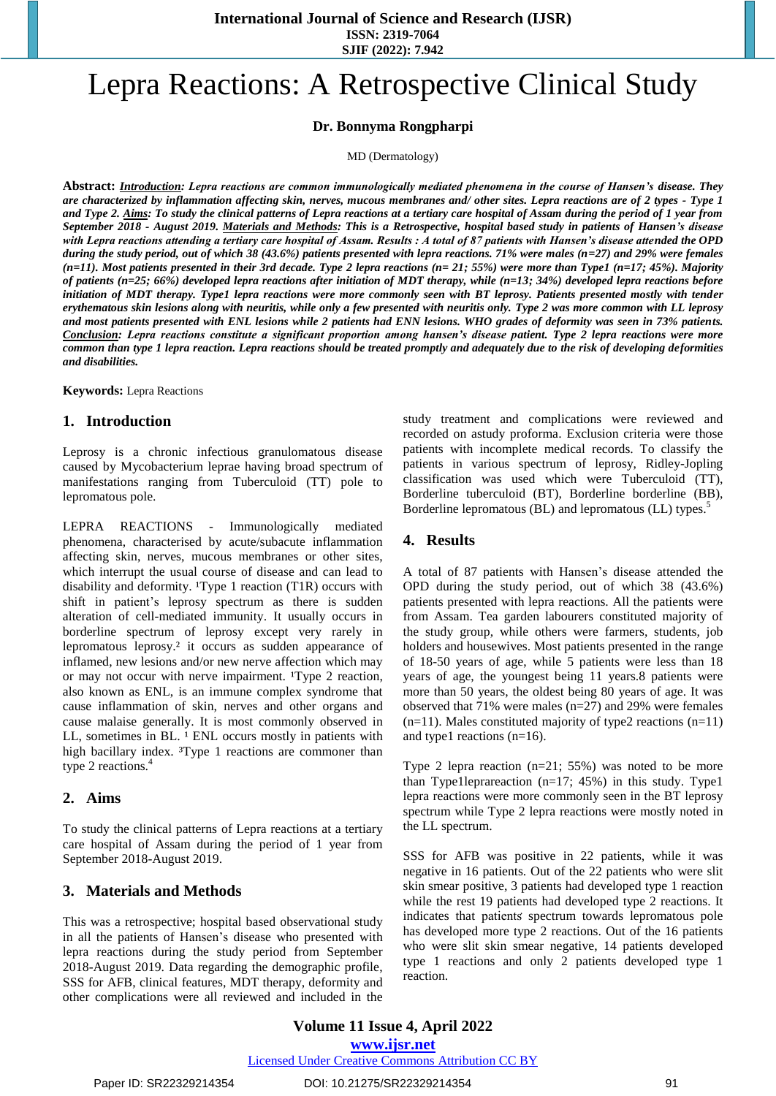**SJIF (2022): 7.942**

# Lepra Reactions: A Retrospective Clinical Study

## **Dr. Bonnyma Rongpharpi**

MD (Dermatology)

**Abstract:** *Introduction: Lepra reactions are common immunologically mediated phenomena in the course of Hansen's disease. They are characterized by inflammation affecting skin, nerves, mucous membranes and/ other sites. Lepra reactions are of 2 types - Type 1 and Type 2. Aims: To study the clinical patterns of Lepra reactions at a tertiary care hospital of Assam during the period of 1 year from September 2018 - August 2019. Materials and Methods: This is a Retrospective, hospital based study in patients of Hansen's disease with Lepra reactions attending a tertiary care hospital of Assam. Results : A total of 87 patients with Hansen's disease attended the OPD during the study period, out of which 38 (43.6%) patients presented with lepra reactions. 71% were males (n=27) and 29% were females (n=11). Most patients presented in their 3rd decade. Type 2 lepra reactions (n= 21; 55%) were more than Type1 (n=17; 45%). Majority of patients (n=25; 66%) developed lepra reactions after initiation of MDT therapy, while (n=13; 34%) developed lepra reactions before initiation of MDT therapy. Type1 lepra reactions were more commonly seen with BT leprosy. Patients presented mostly with tender erythematous skin lesions along with neuritis, while only a few presented with neuritis only. Type 2 was more common with LL leprosy and most patients presented with ENL lesions while 2 patients had ENN lesions. WHO grades of deformity was seen in 73% patients. Conclusion: Lepra reactions constitute a significant proportion among hansen's disease patient. Type 2 lepra reactions were more common than type 1 lepra reaction. Lepra reactions should be treated promptly and adequately due to the risk of developing deformities and disabilities.*

**Keywords:** Lepra Reactions

#### **1. Introduction**

Leprosy is a chronic infectious granulomatous disease caused by Mycobacterium leprae having broad spectrum of manifestations ranging from Tuberculoid (TT) pole to lepromatous pole.

LEPRA REACTIONS - Immunologically mediated phenomena, characterised by acute/subacute inflammation affecting skin, nerves, mucous membranes or other sites, which interrupt the usual course of disease and can lead to disability and deformity.  $T$ ype 1 reaction (T1R) occurs with shift in patient's leprosy spectrum as there is sudden alteration of cell-mediated immunity. It usually occurs in borderline spectrum of leprosy except very rarely in lepromatous leprosy.² it occurs as sudden appearance of inflamed, new lesions and/or new nerve affection which may or may not occur with nerve impairment. <sup>1</sup>Type 2 reaction, also known as ENL, is an immune complex syndrome that cause inflammation of skin, nerves and other organs and cause malaise generally. It is most commonly observed in LL, sometimes in BL. <sup>1</sup> ENL occurs mostly in patients with high bacillary index. <sup>3</sup>Type 1 reactions are commoner than type 2 reactions. 4

#### **2. Aims**

To study the clinical patterns of Lepra reactions at a tertiary care hospital of Assam during the period of 1 year from September 2018-August 2019.

# **3. Materials and Methods**

This was a retrospective; hospital based observational study in all the patients of Hansen's disease who presented with lepra reactions during the study period from September 2018-August 2019. Data regarding the demographic profile, SSS for AFB, clinical features, MDT therapy, deformity and other complications were all reviewed and included in the study treatment and complications were reviewed and recorded on astudy proforma. Exclusion criteria were those patients with incomplete medical records. To classify the patients in various spectrum of leprosy, Ridley-Jopling classification was used which were Tuberculoid (TT), Borderline tuberculoid (BT), Borderline borderline (BB), Borderline lepromatous (BL) and lepromatous (LL) types.<sup>5</sup>

#### **4. Results**

A total of 87 patients with Hansen's disease attended the OPD during the study period, out of which 38 (43.6%) patients presented with lepra reactions. All the patients were from Assam. Tea garden labourers constituted majority of the study group, while others were farmers, students, job holders and housewives. Most patients presented in the range of 18-50 years of age, while 5 patients were less than 18 years of age, the youngest being 11 years.8 patients were more than 50 years, the oldest being 80 years of age. It was observed that 71% were males (n=27) and 29% were females  $(n=11)$ . Males constituted majority of type2 reactions  $(n=11)$ and type1 reactions (n=16).

Type 2 lepra reaction  $(n=21; 55%)$  was noted to be more than Type1leprareaction  $(n=17; 45%)$  in this study. Type1 lepra reactions were more commonly seen in the BT leprosy spectrum while Type 2 lepra reactions were mostly noted in the LL spectrum.

SSS for AFB was positive in 22 patients, while it was negative in 16 patients. Out of the 22 patients who were slit skin smear positive, 3 patients had developed type 1 reaction while the rest 19 patients had developed type 2 reactions. It indicates that patients spectrum towards lepromatous pole has developed more type 2 reactions. Out of the 16 patients who were slit skin smear negative, 14 patients developed type 1 reactions and only 2 patients developed type 1 reaction.

**Volume 11 Issue 4, April 2022 www.ijsr.net** Licensed Under Creative Commons Attribution CC BY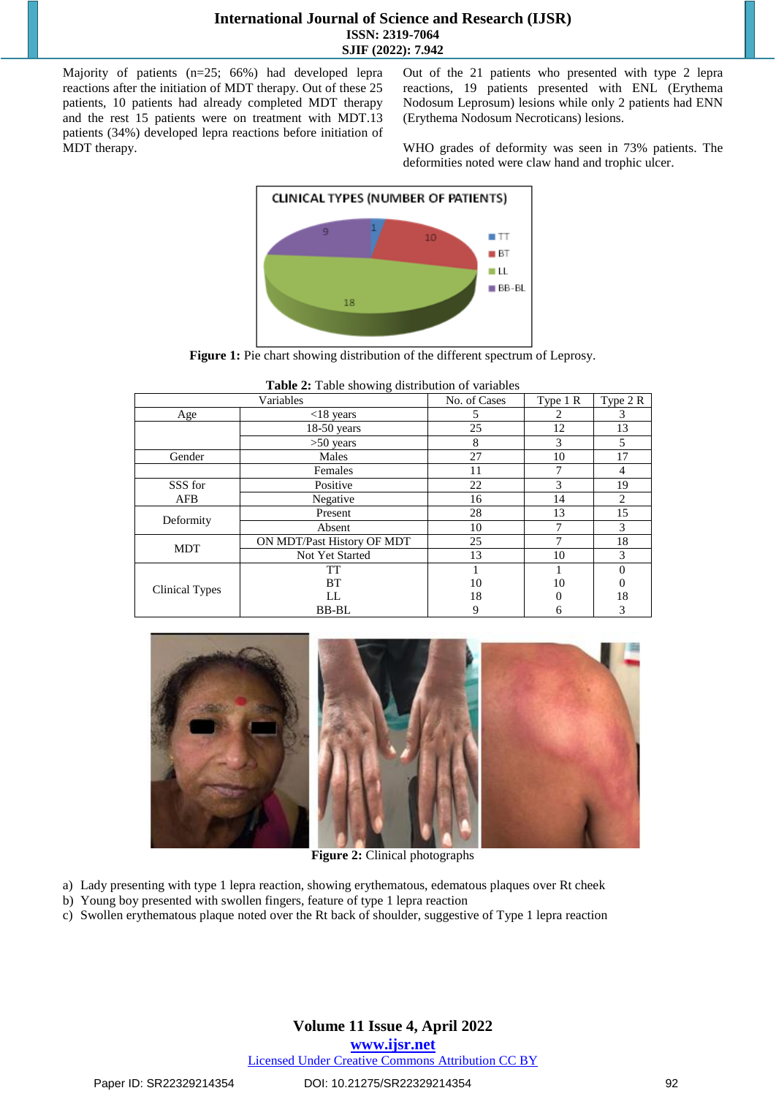#### **International Journal of Science and Research (IJSR) ISSN: 2319-7064 SJIF (2022): 7.942**

Majority of patients (n=25; 66%) had developed lepra reactions after the initiation of MDT therapy. Out of these 25 patients, 10 patients had already completed MDT therapy and the rest 15 patients were on treatment with MDT.13 patients (34%) developed lepra reactions before initiation of MDT therapy.

Out of the 21 patients who presented with type 2 lepra reactions, 19 patients presented with ENL (Erythema Nodosum Leprosum) lesions while only 2 patients had ENN (Erythema Nodosum Necroticans) lesions.

WHO grades of deformity was seen in 73% patients. The deformities noted were claw hand and trophic ulcer.



**Figure 1:** Pie chart showing distribution of the different spectrum of Leprosy.

| <b>Table 2.</b> Table showing distribution of variables |                            |              |          |                |
|---------------------------------------------------------|----------------------------|--------------|----------|----------------|
| Variables                                               |                            | No. of Cases | Type 1 R | Type 2 R       |
| Age                                                     | $<$ 18 years               |              | 2        | 3              |
|                                                         | $18-50$ years              | 25           | 12       | 13             |
|                                                         | $>50$ years                | 8            | 3        | 5              |
| Gender                                                  | Males                      | 27           | 10       | 17             |
|                                                         | Females                    | 11           | 7        | 4              |
| SSS for                                                 | Positive                   | 22           | 3        | 19             |
| AFB                                                     | Negative                   | 16           | 14       | $\overline{c}$ |
| Deformity                                               | Present                    | 28           | 13       | 15             |
|                                                         | Absent                     | 10           |          | 3              |
| <b>MDT</b>                                              | ON MDT/Past History OF MDT | 25           |          | 18             |
|                                                         | Not Yet Started            | 13           | 10       | 3              |
| <b>Clinical Types</b>                                   | TT                         |              |          |                |
|                                                         | <b>BT</b>                  | 10           | 10       | $\theta$       |
|                                                         | LL                         | 18           |          | 18             |
|                                                         | <b>BB-BL</b>               | 9            | n        | 3              |

**Table 2:** Table showing distribution of variables



**Figure 2:** Clinical photographs

- a) Lady presenting with type 1 lepra reaction, showing erythematous, edematous plaques over Rt cheek
- b) Young boy presented with swollen fingers, feature of type 1 lepra reaction
- c) Swollen erythematous plaque noted over the Rt back of shoulder, suggestive of Type 1 lepra reaction

### **Volume 11 Issue 4, April 2022 www.ijsr.net**

Licensed Under Creative Commons Attribution CC BY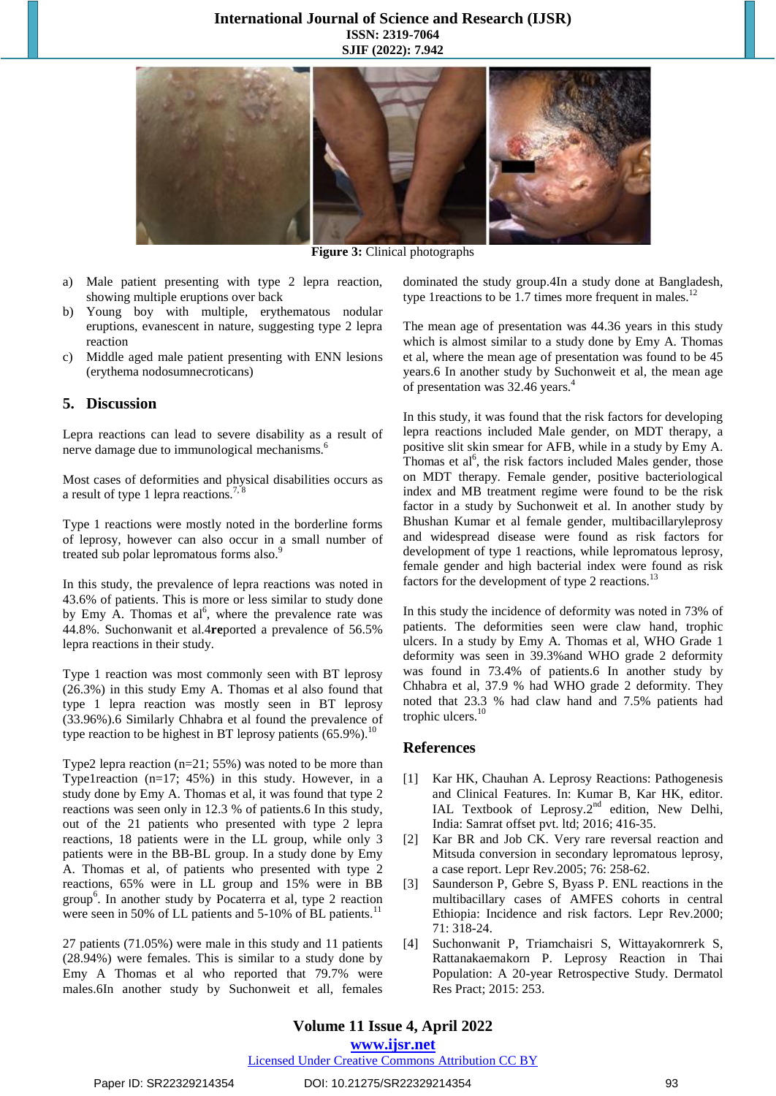#### **International Journal of Science and Research (IJSR) ISSN: 2319-7064 SJIF (2022): 7.942**



**Figure 3:** Clinical photographs

- a) Male patient presenting with type 2 lepra reaction, showing multiple eruptions over back
- b) Young boy with multiple, erythematous nodular eruptions, evanescent in nature, suggesting type 2 lepra reaction
- c) Middle aged male patient presenting with ENN lesions (erythema nodosumnecroticans)

#### **5. Discussion**

Lepra reactions can lead to severe disability as a result of nerve damage due to immunological mechanisms.<sup>6</sup>

Most cases of deformities and physical disabilities occurs as a result of type 1 lepra reactions.<sup>7,8</sup>

Type 1 reactions were mostly noted in the borderline forms of leprosy, however can also occur in a small number of treated sub polar lepromatous forms also.<sup>9</sup>

In this study, the prevalence of lepra reactions was noted in 43.6% of patients. This is more or less similar to study done by Emy A. Thomas et  $al^6$ , where the prevalence rate was 44.8%. Suchonwanit et al.4**re**ported a prevalence of 56.5% lepra reactions in their study.

Type 1 reaction was most commonly seen with BT leprosy (26.3%) in this study Emy A. Thomas et al also found that type 1 lepra reaction was mostly seen in BT leprosy (33.96%).6 Similarly Chhabra et al found the prevalence of type reaction to be highest in BT leprosy patients  $(65.9\%)$ .<sup>10</sup>

Type2 lepra reaction (n=21; 55%) was noted to be more than Type1reaction (n=17; 45%) in this study. However, in a study done by Emy A. Thomas et al, it was found that type 2 reactions was seen only in 12.3 % of patients.6 In this study, out of the 21 patients who presented with type 2 lepra reactions, 18 patients were in the LL group, while only 3 patients were in the BB-BL group. In a study done by Emy A. Thomas et al, of patients who presented with type 2 reactions, 65% were in LL group and 15% were in BB group<sup>6</sup> . In another study by Pocaterra et al, type 2 reaction were seen in 50% of LL patients and 5-10% of BL patients.<sup>11</sup>

27 patients (71.05%) were male in this study and 11 patients (28.94%) were females. This is similar to a study done by Emy A Thomas et al who reported that 79.7% were males.6In another study by Suchonweit et all, females

dominated the study group.4In a study done at Bangladesh, type 1 reactions to be 1.7 times more frequent in males.<sup>12</sup>

The mean age of presentation was 44.36 years in this study which is almost similar to a study done by Emy A. Thomas et al, where the mean age of presentation was found to be 45 years.6 In another study by Suchonweit et al, the mean age of presentation was 32.46 years. 4

In this study, it was found that the risk factors for developing lepra reactions included Male gender, on MDT therapy, a positive slit skin smear for AFB, while in a study by Emy A. Thomas et al $<sup>6</sup>$ , the risk factors included Males gender, those</sup> on MDT therapy. Female gender, positive bacteriological index and MB treatment regime were found to be the risk factor in a study by Suchonweit et al. In another study by Bhushan Kumar et al female gender, multibacillaryleprosy and widespread disease were found as risk factors for development of type 1 reactions, while lepromatous leprosy, female gender and high bacterial index were found as risk factors for the development of type 2 reactions.<sup>13</sup>

In this study the incidence of deformity was noted in 73% of patients. The deformities seen were claw hand, trophic ulcers. In a study by Emy A. Thomas et al, WHO Grade 1 deformity was seen in 39.3%and WHO grade 2 deformity was found in 73.4% of patients.6 In another study by Chhabra et al, 37.9 % had WHO grade 2 deformity. They noted that 23.3 % had claw hand and 7.5% patients had trophic ulcers. 10

#### **References**

- [1] Kar HK, Chauhan A. Leprosy Reactions: Pathogenesis and Clinical Features. In: Kumar B, Kar HK, editor. IAL Textbook of Leprosy.2<sup>nd</sup> edition, New Delhi, India: Samrat offset pvt. ltd; 2016; 416-35.
- [2] Kar BR and Job CK. Very rare reversal reaction and Mitsuda conversion in secondary lepromatous leprosy, a case report. Lepr Rev.2005; 76: 258-62.
- [3] Saunderson P, Gebre S, Byass P. ENL reactions in the multibacillary cases of AMFES cohorts in central Ethiopia: Incidence and risk factors. Lepr Rev.2000; 71: 318-24.
- [4] Suchonwanit P, Triamchaisri S, Wittayakornrerk S, Rattanakaemakorn P. Leprosy Reaction in Thai Population: A 20-year Retrospective Study. Dermatol Res Pract; 2015: 253.

# **Volume 11 Issue 4, April 2022**

**www.ijsr.net**

Licensed Under Creative Commons Attribution CC BY